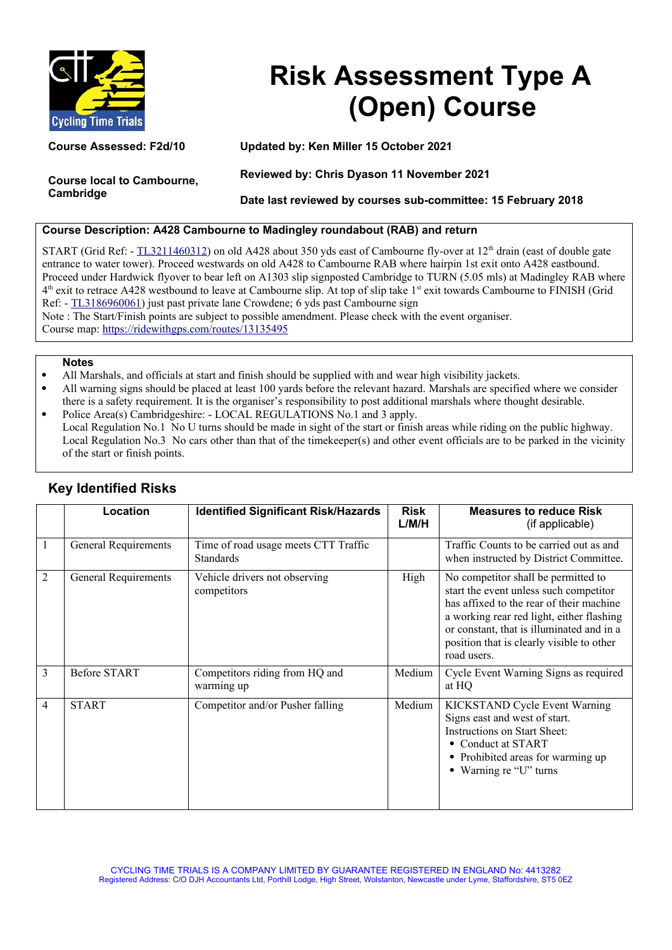

## **Risk Assessment Type A (Open) Course**

**Course local to Cambourne,** 

**Course Assessed: F2d/10 Updated by: Ken Miller 15 October 2021**

**Reviewed by: Chris Dyason 11 November 2021**

**Date last reviewed by courses sub-committee: 15 February 2018**

## **Course Description: A428 Cambourne to Madingley roundabout (RAB) and return**

START (Grid Ref:  $-$  [TL3211460312\)](https://gridreferencefinder.com/) on old A428 about 350 yds east of Cambourne fly-over at  $12<sup>th</sup>$  drain (east of double gate entrance to water tower). Proceed westwards on old A428 to Cambourne RAB where hairpin 1st exit onto A428 eastbound. Proceed under Hardwick flyover to bear left on A1303 slip signposted Cambridge to TURN (5.05 mls) at Madingley RAB where 4<sup>th</sup> exit to retrace A428 westbound to leave at Cambourne slip. At top of slip take 1<sup>st</sup> exit towards Cambourne to FINISH (Grid Ref: - [TL3186960061\)](https://gridreferencefinder.com/) just past private lane Crowdene; 6 yds past Cambourne sign Note : The Start/Finish points are subject to possible amendment. Please check with the event organiser. Course map:<https://ridewithgps.com/routes/13135495>

## **Notes**

**Cambridge**

- All Marshals, and officials at start and finish should be supplied with and wear high visibility jackets.
- All warning signs should be placed at least 100 yards before the relevant hazard. Marshals are specified where we consider there is a safety requirement. It is the organiser's responsibility to post additional marshals where thought desirable. Police Area(s) Cambridgeshire: - LOCAL REGULATIONS No.1 and 3 apply.
- Local Regulation No.1 No U turns should be made in sight of the start or finish areas while riding on the public highway. Local Regulation No.3 No cars other than that of the timekeeper(s) and other event officials are to be parked in the vicinity of the start or finish points.

|   | Location                    | <b>Identified Significant Risk/Hazards</b>               | <b>Risk</b><br>L/M/H | <b>Measures to reduce Risk</b><br>(if applicable)                                                                                                                                                                                                                               |
|---|-----------------------------|----------------------------------------------------------|----------------------|---------------------------------------------------------------------------------------------------------------------------------------------------------------------------------------------------------------------------------------------------------------------------------|
| 1 | <b>General Requirements</b> | Time of road usage meets CTT Traffic<br><b>Standards</b> |                      | Traffic Counts to be carried out as and<br>when instructed by District Committee.                                                                                                                                                                                               |
| 2 | <b>General Requirements</b> | Vehicle drivers not observing<br>competitors             | High                 | No competitor shall be permitted to<br>start the event unless such competitor<br>has affixed to the rear of their machine<br>a working rear red light, either flashing<br>or constant, that is illuminated and in a<br>position that is clearly visible to other<br>road users. |
| 3 | <b>Before START</b>         | Competitors riding from HQ and<br>warming up             | Medium               | Cycle Event Warning Signs as required<br>at HQ                                                                                                                                                                                                                                  |
| 4 | <b>START</b>                | Competitor and/or Pusher falling                         | Medium               | KICKSTAND Cycle Event Warning<br>Signs east and west of start.<br>Instructions on Start Sheet:<br>• Conduct at START<br>• Prohibited areas for warming up<br>• Warning re "U" turns                                                                                             |

## **Key Identified Risks**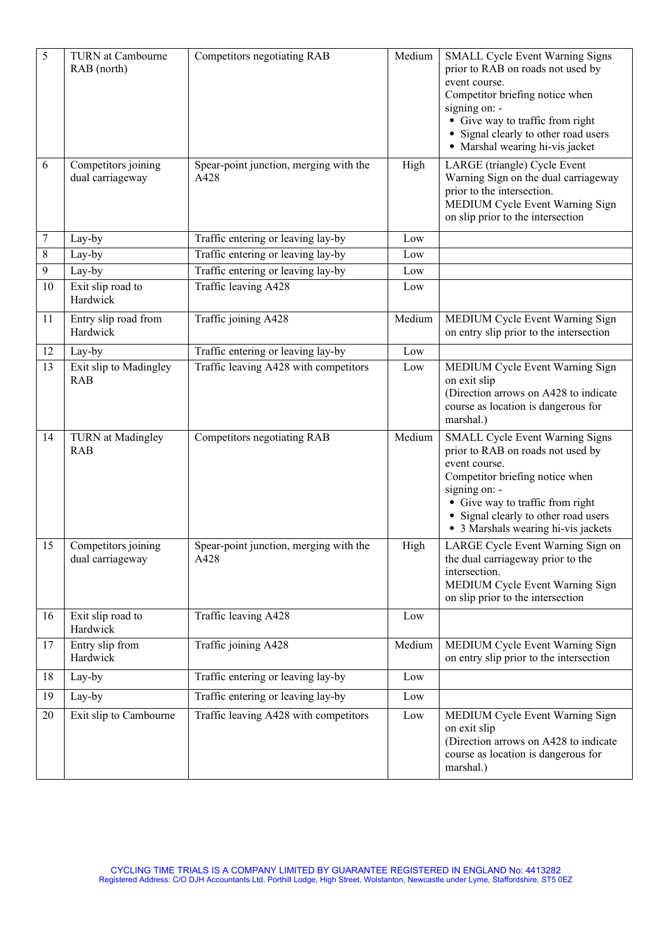| 5       | TURN at Cambourne<br>RAB (north)        | <b>Competitors negotiating RAB</b>             | Medium    | <b>SMALL Cycle Event Warning Signs</b><br>prior to RAB on roads not used by<br>event course.<br>Competitor briefing notice when<br>signing on: -<br>• Give way to traffic from right<br>• Signal clearly to other road users<br>• Marshal wearing hi-vis jacket     |
|---------|-----------------------------------------|------------------------------------------------|-----------|---------------------------------------------------------------------------------------------------------------------------------------------------------------------------------------------------------------------------------------------------------------------|
| 6       | Competitors joining<br>dual carriageway | Spear-point junction, merging with the<br>A428 | High      | LARGE (triangle) Cycle Event<br>Warning Sign on the dual carriageway<br>prior to the intersection.<br>MEDIUM Cycle Event Warning Sign<br>on slip prior to the intersection                                                                                          |
| 7       | Lay-by                                  | Traffic entering or leaving lay-by             | Low       |                                                                                                                                                                                                                                                                     |
| $\,8\,$ | Lay-by                                  | Traffic entering or leaving lay-by             | Low       |                                                                                                                                                                                                                                                                     |
| 9       | Lay-by                                  | Traffic entering or leaving lay-by             | Low       |                                                                                                                                                                                                                                                                     |
| 10      | Exit slip road to<br>Hardwick           | Traffic leaving A428                           | Low       |                                                                                                                                                                                                                                                                     |
| 11      | Entry slip road from<br>Hardwick        | Traffic joining A428                           | Medium    | MEDIUM Cycle Event Warning Sign<br>on entry slip prior to the intersection                                                                                                                                                                                          |
| 12      | Lay-by                                  | Traffic entering or leaving lay-by             | Low       |                                                                                                                                                                                                                                                                     |
| 13      | Exit slip to Madingley<br><b>RAB</b>    | Traffic leaving A428 with competitors          | Low       | MEDIUM Cycle Event Warning Sign<br>on exit slip<br>(Direction arrows on A428 to indicate<br>course as location is dangerous for<br>marshal.)                                                                                                                        |
| 14      | TURN at Madingley<br><b>RAB</b>         | Competitors negotiating RAB                    | $M$ edium | <b>SMALL Cycle Event Warning Signs</b><br>prior to RAB on roads not used by<br>event course.<br>Competitor briefing notice when<br>signing on: -<br>• Give way to traffic from right<br>• Signal clearly to other road users<br>• 3 Marshals wearing hi-vis jackets |
| 15      | Competitors joining<br>dual carriageway | Spear-point junction, merging with the<br>A428 | High      | LARGE Cycle Event Warning Sign on<br>the dual carriageway prior to the<br>intersection.<br>MEDIUM Cycle Event Warning Sign<br>on slip prior to the intersection                                                                                                     |
| 16      | Exit slip road to<br>Hardwick           | Traffic leaving A428                           | Low       |                                                                                                                                                                                                                                                                     |
| 17      | Entry slip from<br>Hardwick             | Traffic joining A428                           | Medium    | MEDIUM Cycle Event Warning Sign<br>on entry slip prior to the intersection                                                                                                                                                                                          |
| 18      | Lay-by                                  | Traffic entering or leaving lay-by             | Low       |                                                                                                                                                                                                                                                                     |
| 19      | Lay-by                                  | Traffic entering or leaving lay-by             | Low       |                                                                                                                                                                                                                                                                     |
| 20      | Exit slip to Cambourne                  | Traffic leaving A428 with competitors          | Low       | MEDIUM Cycle Event Warning Sign<br>on exit slip<br>(Direction arrows on A428 to indicate<br>course as location is dangerous for<br>marshal.)                                                                                                                        |